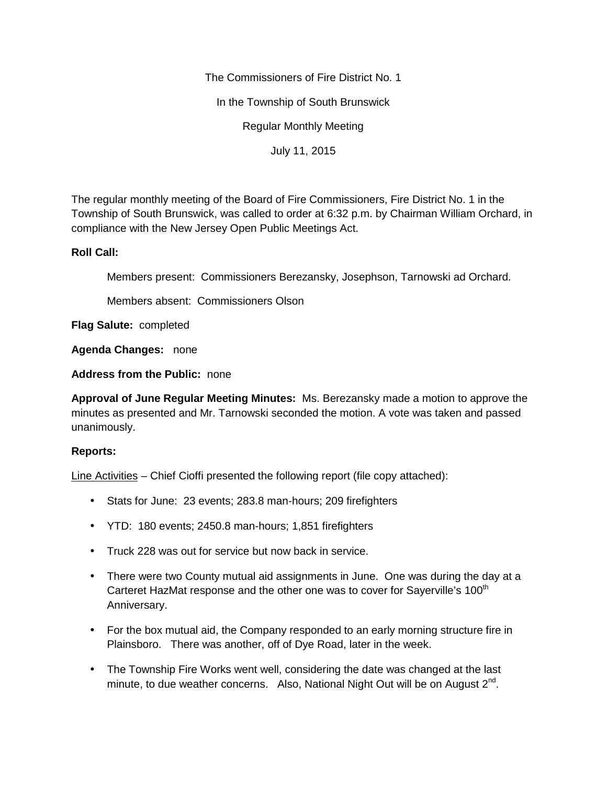The Commissioners of Fire District No. 1

In the Township of South Brunswick

Regular Monthly Meeting

July 11, 2015

The regular monthly meeting of the Board of Fire Commissioners, Fire District No. 1 in the Township of South Brunswick, was called to order at 6:32 p.m. by Chairman William Orchard, in compliance with the New Jersey Open Public Meetings Act.

## **Roll Call:**

Members present: Commissioners Berezansky, Josephson, Tarnowski ad Orchard.

Members absent: Commissioners Olson

**Flag Salute:** completed

**Agenda Changes:** none

**Address from the Public:** none

**Approval of June Regular Meeting Minutes:** Ms. Berezansky made a motion to approve the minutes as presented and Mr. Tarnowski seconded the motion. A vote was taken and passed unanimously.

# **Reports:**

Line Activities – Chief Cioffi presented the following report (file copy attached):

- Stats for June: 23 events; 283.8 man-hours; 209 firefighters
- YTD: 180 events; 2450.8 man-hours; 1,851 firefighters
- Truck 228 was out for service but now back in service.
- There were two County mutual aid assignments in June. One was during the day at a Carteret HazMat response and the other one was to cover for Sayerville's 100<sup>th</sup> Anniversary.
- For the box mutual aid, the Company responded to an early morning structure fire in Plainsboro. There was another, off of Dye Road, later in the week.
- The Township Fire Works went well, considering the date was changed at the last minute, to due weather concerns. Also, National Night Out will be on August 2<sup>nd</sup>.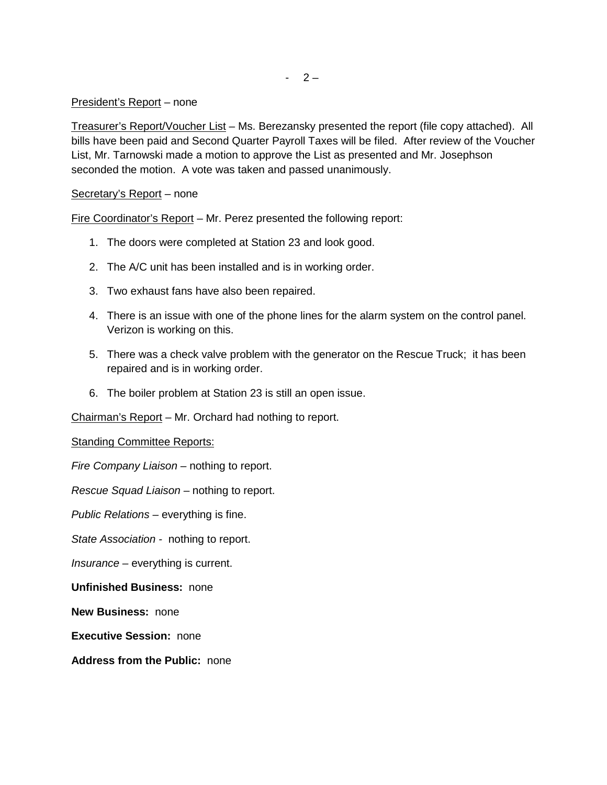$-2-$ 

### President's Report – none

Treasurer's Report/Voucher List – Ms. Berezansky presented the report (file copy attached). All bills have been paid and Second Quarter Payroll Taxes will be filed. After review of the Voucher List, Mr. Tarnowski made a motion to approve the List as presented and Mr. Josephson seconded the motion. A vote was taken and passed unanimously.

## Secretary's Report – none

Fire Coordinator's Report – Mr. Perez presented the following report:

- 1. The doors were completed at Station 23 and look good.
- 2. The A/C unit has been installed and is in working order.
- 3. Two exhaust fans have also been repaired.
- 4. There is an issue with one of the phone lines for the alarm system on the control panel. Verizon is working on this.
- 5. There was a check valve problem with the generator on the Rescue Truck; it has been repaired and is in working order.
- 6. The boiler problem at Station 23 is still an open issue.

Chairman's Report – Mr. Orchard had nothing to report.

Standing Committee Reports:

*Fire Company Liaison –* nothing to report.

*Rescue Squad Liaison –* nothing to report.

*Public Relations –* everything is fine.

*State Association -* nothing to report.

*Insurance –* everything is current.

#### **Unfinished Business:** none

**New Business:** none

**Executive Session:** none

**Address from the Public:** none